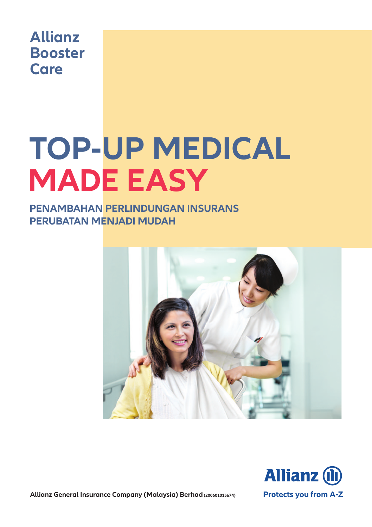

# **TOP-UP MEDICAL MADE EASY**

#### **PENAMBAHAN PERLINDUNGAN INSURANS PERUBATAN MENJADI MUDAH**





**Allianz General Insurance Company (Malaysia) Berhad (200601015674)**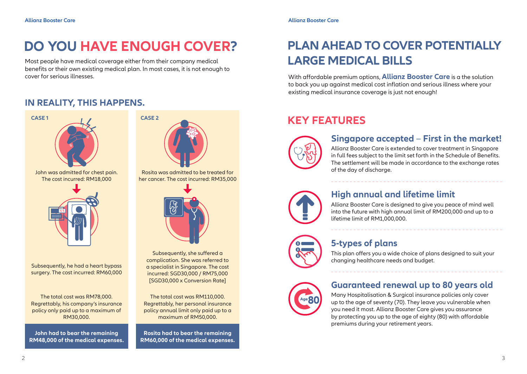# **DO YOU HAVE ENOUGH COVER? PLAN AHEAD TO COVER POTENTIALLY**

Most people have medical coverage either from their company medical benefits or their own existing medical plan. In most cases, it is not enough to cover for serious illnesses. With affordable premium options, **Allianz Booster Care** is a the solution

#### **IN REALITY, THIS HAPPENS.**



complication. She was referred to a specialist in Singapore. The cost incurred: SGD30,000 / RM75,000 [SGD30,000 x Conversion Rate]

The total cost was RM110,000. Regrettably, her personal insurance policy annual limit only paid up to a

**Rosita had to bear the remaining RM60,000 of the medical expenses.**

# **LARGE MEDICAL BILLS**

to back you up against medical cost inflation and serious illness where your existing medical insurance coverage is just not enough!

### **KEY FEATURES**



#### **Singapore accepted** – **First in the market!**

Allianz Booster Care is extended to cover treatment in Singapore in full fees subject to the limit set forth in the Schedule of Benefits. The settlement will be made in accordance to the exchange rates of the day of discharge.



#### **High annual and lifetime limit**

Allianz Booster Care is designed to give you peace of mind well into the future with high annual limit of RM200,000 and up to a lifetime limit of RM1,000,000.



### **5-types of plans**

This plan offers you a wide choice of plans designed to suit your changing healthcare needs and budget.

#### **Guaranteed renewal up to 80 years old**

Many Hospitalisation & Surgical insurance policies only cover up to the age of seventy (70). They leave you vulnerable when you need it most. Allianz Booster Care gives you assurance by protecting you up to the age of eighty (80) with affordable premiums during your retirement years.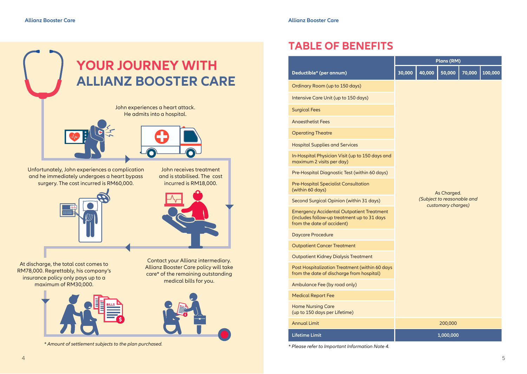

At discharge, the total cost comes to RM78,000. Regrettably, his company's insurance policy only pays up to a maximum of RM30,000.





care\* of the remaining outstanding medical bills for you.

*\* Amount of settlement subjects to the plan purchased.*

### **TABLE OF BENEFITS**

|                                                                                                                               | Plans (RM)                                       |        |             |        |         |  |  |
|-------------------------------------------------------------------------------------------------------------------------------|--------------------------------------------------|--------|-------------|--------|---------|--|--|
| Deductible* (per annum)                                                                                                       | 30,000                                           | 40,000 | 50,000      | 70,000 | 100,000 |  |  |
| Ordinary Room (up to 150 days)                                                                                                |                                                  |        |             |        |         |  |  |
| Intensive Care Unit (up to 150 days)                                                                                          |                                                  |        |             |        |         |  |  |
| <b>Surgical Fees</b>                                                                                                          |                                                  |        |             |        |         |  |  |
| <b>Angesthetist Fees</b>                                                                                                      |                                                  |        |             |        |         |  |  |
| <b>Operating Theatre</b>                                                                                                      |                                                  |        |             |        |         |  |  |
| <b>Hospital Supplies and Services</b>                                                                                         |                                                  |        |             |        |         |  |  |
| In-Hospital Physician Visit (up to 150 days and<br>maximum 2 visits per day)                                                  |                                                  |        |             |        |         |  |  |
| Pre-Hospital Diagnostic Test (within 60 days)                                                                                 |                                                  |        |             |        |         |  |  |
| <b>Pre-Hospital Specialist Consultation</b><br>(within 60 days)                                                               |                                                  |        | As Charged. |        |         |  |  |
| Second Surgical Opinion (within 31 days)                                                                                      | (Subject to reasonable and<br>customary charges) |        |             |        |         |  |  |
| <b>Emergency Accidental Outpatient Treatment</b><br>(includes follow-up treatment up to 31 days<br>from the date of accident) |                                                  |        |             |        |         |  |  |
| <b>Daycare Procedure</b>                                                                                                      |                                                  |        |             |        |         |  |  |
| <b>Outpatient Cancer Treatment</b>                                                                                            |                                                  |        |             |        |         |  |  |
| <b>Outpatient Kidney Dialysis Treatment</b>                                                                                   |                                                  |        |             |        |         |  |  |
| Post Hospitalization Treatment (within 60 days<br>from the date of discharge from hospital)                                   |                                                  |        |             |        |         |  |  |
| Ambulance Fee (by road only)                                                                                                  |                                                  |        |             |        |         |  |  |
| <b>Medical Report Fee</b>                                                                                                     |                                                  |        |             |        |         |  |  |
| <b>Home Nursing Care</b><br>(up to 150 days per Lifetime)                                                                     |                                                  |        |             |        |         |  |  |
| <b>Annual Limit</b>                                                                                                           |                                                  |        | 200,000     |        |         |  |  |
| <b>Lifetime Limit</b>                                                                                                         |                                                  |        | 1,000,000   |        |         |  |  |

*\* Please refer to Important Information Note 4.*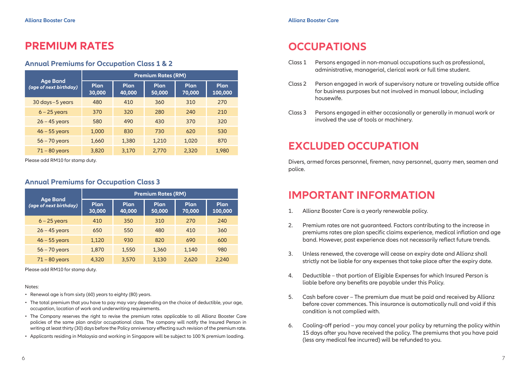### **PREMIUM RATES**

#### **Annual Premiums for Occupation Class 1 & 2**

|                                           | <b>Premium Rates (RM)</b> |                       |                |                |                 |  |  |
|-------------------------------------------|---------------------------|-----------------------|----------------|----------------|-----------------|--|--|
| <b>Age Band</b><br>(age of next birthday) | <b>Plan</b><br>30,000     | <b>Plan</b><br>40,000 | Plan<br>50,000 | Plan<br>70,000 | Plan<br>100,000 |  |  |
| 30 days - 5 years                         | 480                       | 410                   | 360            | 310            | 270             |  |  |
| $6 - 25$ years                            | 370                       | 320                   | 280            | 240            | 210             |  |  |
| $26 - 45$ years                           | 580                       | 490                   | 430            | 370            | 320             |  |  |
| $46 - 55$ years                           | 1,000                     | 830                   | 730            | 620            | 530             |  |  |
| $56 - 70$ years                           | 1,660                     | 1,380                 | 1,210          | 1,020          | 870             |  |  |
| $71 - 80$ years                           | 3,820                     | 3,170                 | 2,770          | 2,320          | 1,980           |  |  |

Please add RM10 for stamp duty.

#### **Annual Premiums for Occupation Class 3**

|                                           | <b>Premium Rates (RM)</b> |                       |                |                       |                        |  |
|-------------------------------------------|---------------------------|-----------------------|----------------|-----------------------|------------------------|--|
| <b>Age Band</b><br>(age of next birthday) | Plan<br>30,000            | <b>Plan</b><br>40,000 | Plan<br>50,000 | <b>Plan</b><br>70,000 | <b>Plan</b><br>100,000 |  |
| $6 - 25$ years                            | 410                       | 350                   | 310            | 270                   | 240                    |  |
| $26 - 45$ years                           | 650                       | 550                   | 480            | 410                   | 360                    |  |
| $46 - 55$ years                           | 1,120                     | 930                   | 820            | 690                   | 600                    |  |
| $56 - 70$ years                           | 1,870                     | 1,550                 | 1,360          | 1,140                 | 980                    |  |
| $71 - 80$ years                           | 4,320                     | 3.570                 | 3,130          | 2.620                 | 2,240                  |  |

Please add RM10 for stamp duty.

#### Notes:

- Renewal age is from sixty (60) years to eighty (80) years.
- The total premium that you have to pay may vary depending on the choice of deductible, your age, occupation, location of work and underwriting requirements.
- The Company reserves the right to revise the premium rates applicable to all Allianz Booster Care policies of the same plan and/or occupational class. The company will notify the Insured Person in writing at least thirty (30) days before the Policy anniversary effecting such revision of the premium rate.
- Applicants residing in Malaysia and working in Singapore will be subject to 100 % premium loading.

# **OCCUPATIONS**

- Class 1 Persons engaged in non-manual occupations such as professional, administrative, managerial, clerical work or full time student.
- Class 2 Person engaged in work of supervisory nature or traveling outside office for business purposes but not involved in manual labour, including housewife.
- Class 3 Persons engaged in either occasionally or generally in manual work or involved the use of tools or machinery.

### **EXCLUDED OCCUPATION**

Divers, armed forces personnel, firemen, navy personnel, quarry men, seamen and police.

### **IMPORTANT INFORMATION**

- 1. Allianz Booster Care is a yearly renewable policy.
- 2. Premium rates are not guaranteed. Factors contributing to the increase in premiums rates are plan specific claims experience, medical inflation and age band. However, past experience does not necessarily reflect future trends.
- 3. Unless renewed, the coverage will cease on expiry date and Allianz shall strictly not be liable for any expenses that take place after the expiry date.
- 4. Deductible that portion of Eligible Expenses for which Insured Person is liable before any benefits are payable under this Policy.
- 5. Cash before cover The premium due must be paid and received by Allianz before cover commences. This insurance is automatically null and void if this condition is not complied with.
- 6. Cooling-off period you may cancel your policy by returning the policy within 15 days after you have received the policy. The premiums that you have paid (less any medical fee incurred) will be refunded to you.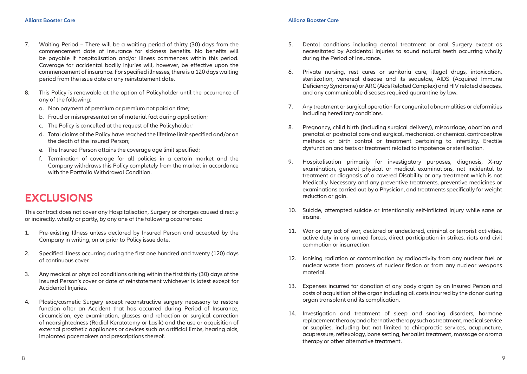- 7. Waiting Period There will be a waiting period of thirty (30) days from the commencement date of insurance for sickness benefits. No benefits will be payable if hospitalisation and/or illness commences within this period. Coverage for accidental bodily injuries will, however, be effective upon the commencement of insurance. For specified illnesses, there is a 120 days waiting period from the issue date or any reinstatement date.
- 8. This Policy is renewable at the option of Policyholder until the occurrence of any of the following:
	- a. Non payment of premium or premium not paid on time;
	- b. Fraud or misrepresentation of material fact during application;
	- c. The Policy is cancelled at the request of the Policyholder;
	- d. Total claims of the Policy have reached the lifetime limit specified and/or on the death of the Insured Person;
	- e. The Insured Person attains the coverage age limit specified;
	- f. Termination of coverage for all policies in a certain market and the Company withdraws this Policy completely from the market in accordance with the Portfolio Withdrawal Condition.

### **EXCLUSIONS**

This contract does not cover any Hospitalisation, Surgery or charges caused directly or indirectly, wholly or partly, by any one of the following occurrences:

- 1. Pre-existing Illness unless declared by Insured Person and accepted by the Company in writing, on or prior to Policy issue date.
- 2. Specified Illness occurring during the first one hundred and twenty (120) days of continuous cover.
- 3. Any medical or physical conditions arising within the first thirty (30) days of the Insured Person's cover or date of reinstatement whichever is latest except for Accidental Injuries.
- 4. Plastic/cosmetic Surgery except reconstructive surgery necessary to restore function after an Accident that has occurred during Period of Insurance, circumcision, eye examination, glasses and refraction or surgical correction of nearsightedness (Radial Keratotomy or Lasik) and the use or acquisition of external prosthetic appliances or devices such as artificial limbs, hearing aids, implanted pacemakers and prescriptions thereof.
- 5. Dental conditions including dental treatment or oral Surgery except as necessitated by Accidental Injuries to sound natural teeth occurring wholly during the Period of Insurance.
- 6. Private nursing, rest cures or sanitaria care, illegal drugs, intoxication, sterilization, venereal disease and its sequelae, AIDS (Acquired Immune Deficiency Syndrome) or ARC (Aids Related Complex) and HIV related diseases, and any communicable diseases required quarantine by law.
- 7. Any treatment or surgical operation for congenital abnormalities or deformities including hereditary conditions.
- 8. Pregnancy, child birth (including surgical delivery), miscarriage, abortion and prenatal or postnatal care and surgical, mechanical or chemical contraceptive methods or birth control or treatment pertaining to infertility. Erectile dysfunction and tests or treatment related to impotence or sterilisation.
- 9. Hospitalisation primarily for investigatory purposes, diagnosis, X-ray examination, general physical or medical examinations, not incidental to treatment or diagnosis of a covered Disability or any treatment which is not Medically Necessary and any preventive treatments, preventive medicines or examinations carried out by a Physician, and treatments specifically for weight reduction or gain.
- 10. Suicide, attempted suicide or intentionally self-inflicted Injury while sane or insane.
- 11. War or any act of war, declared or undeclared, criminal or terrorist activities, active duty in any armed forces, direct participation in strikes, riots and civil commotion or insurrection.
- 12. Ionising radiation or contamination by radioactivity from any nuclear fuel or nuclear waste from process of nuclear fission or from any nuclear weapons material.
- 13. Expenses incurred for donation of any body organ by an Insured Person and costs of acquisition of the organ including all costs incurred by the donor during organ transplant and its complication.
- 14. Investigation and treatment of sleep and snoring disorders, hormone replacement therapy and alternative therapy such as treatment, medical service or supplies, including but not limited to chiropractic services, acupuncture, acupressure, reflexology, bone setting, herbalist treatment, massage or aroma therapy or other alternative treatment.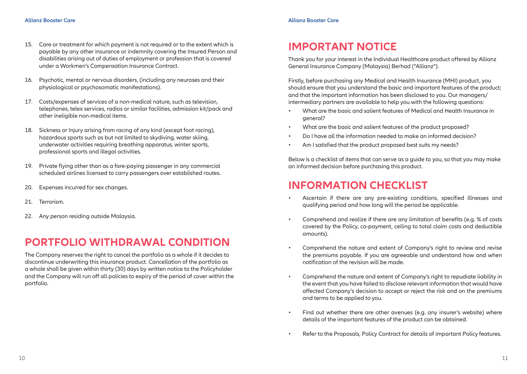- 15. Care or treatment for which payment is not required or to the extent which is payable by any other insurance or indemnity covering the Insured Person and disabilities arising out of duties of employment or profession that is covered under a Workmen's Compensation Insurance Contract.
- 16. Psychotic, mental or nervous disorders, (including any neuroses and their physiological or psychosomatic manifestations).
- 17. Costs/expenses of services of a non-medical nature, such as television, telephones, telex services, radios or similar facilities, admission kit/pack and other ineligible non-medical items.
- 18. Sickness or Injury arising from racing of any kind (except foot racing), hazardous sports such as but not limited to skydiving, water skiing, underwater activities requiring breathing apparatus, winter sports, professional sports and illegal activities.
- 19. Private flying other than as a fare-paying passenger in any commercial scheduled airlines licensed to carry passengers over established routes.
- 20. Expenses incurred for sex changes.
- 21. Terrorism.
- 22. Any person residing outside Malaysia.

### **PORTFOLIO WITHDRAWAL CONDITION**

The Company reserves the right to cancel the portfolio as a whole if it decides to discontinue underwriting this insurance product. Cancellation of the portfolio as a whole shall be given within thirty (30) days by written notice to the Policyholder and the Company will run off all policies to expiry of the period of cover within the portfolio.

### **IMPORTANT NOTICE**

Thank you for your interest in the Individual Healthcare product offered by Allianz General Insurance Company (Malaysia) Berhad ("Allianz").

Firstly, before purchasing any Medical and Health Insurance (MHI) product, you should ensure that you understand the basic and important features of the product; and that the important information has been disclosed to you. Our managers/ intermediary partners are available to help you with the following questions:

- What are the basic and salient features of Medical and Health Insurance in general?
- What are the basic and salient features of the product proposed?
- Do I have all the information needed to make an informed decision?
- Am I satisfied that the product proposed best suits my needs?

Below is a checklist of items that can serve as a guide to you, so that you may make an informed decision before purchasing this product.

### **INFORMATION CHECKLIST**

- Ascertain if there are any pre-existing conditions, specified illnesses and qualifying period and how long will the period be applicable.
- Comprehend and realize if there are any limitation of benefits (e.g. % of costs covered by the Policy, co-payment, ceiling to total claim costs and deductible amounts).
- Comprehend the nature and extent of Company's right to review and revise the premiums payable. If you are agreeable and understand how and when notification of the revision will be made.
- Comprehend the nature and extent of Company's right to repudiate liability in the event that you have failed to disclose relevant information that would have affected Company's decision to accept or reject the risk and on the premiums and terms to be applied to you.
- Find out whether there are other avenues (e.g. any insurer's website) where details of the important features of the product can be obtained.
- Refer to the Proposals, Policy Contract for details of important Policy features.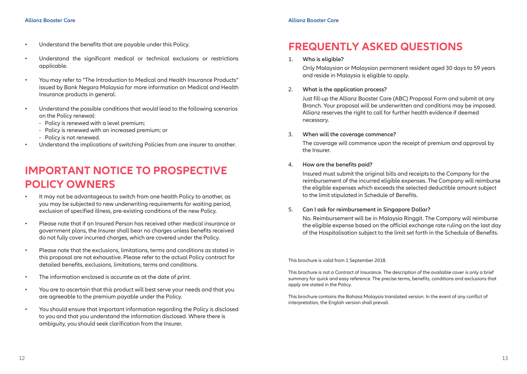- Understand the benefits that are payable under this Policy.
- Understand the significant medical or technical exclusions or restrictions applicable.
- You may refer to "The Introduction to Medical and Health Insurance Products" issued by Bank Negara Malaysia for more information on Medical and Health Insurance products in general.
- Understand the possible conditions that would lead to the following scenarios on the Policy renewal:
	- Policy is renewed with a level premium;
	- Policy is renewed with an increased premium; or
	- Policy is not renewed.
- Understand the implications of switching Policies from one insurer to another.

### **IMPORTANT NOTICE TO PROSPECTIVE POLICY OWNERS**

- It may not be advantageous to switch from one health Policy to another, as you may be subjected to new underwriting requirements for waiting period, exclusion of specified illness, pre-existing conditions of the new Policy.
- Please note that if an Insured Person has received other medical insurance or government plans, the Insurer shall bear no charges unless benefits received do not fully cover incurred charges, which are covered under the Policy.
- Please note that the exclusions, limitations, terms and conditions as stated in this proposal are not exhaustive. Please refer to the actual Policy contract for detailed benefits, exclusions, limitations, terms and conditions.
- The information enclosed is accurate as at the date of print.
- You are to ascertain that this product will best serve your needs and that you are agreeable to the premium payable under the Policy.
- You should ensure that important information regarding the Policy is disclosed to you and that you understand the information disclosed. Where there is ambiguity, you should seek clarification from the Insurer.

### **FREQUENTLY ASKED QUESTIONS**

#### 1. **Who is eligible?**

Only Malaysian or Malaysian permanent resident aged 30 days to 59 years and reside in Malaysia is eligible to apply.

#### 2. **What is the application process?**

Just fill-up the Allianz Booster Care (ABC) Proposal Form and submit at any Branch. Your proposal will be underwritten and conditions may be imposed. Allianz reserves the right to call for further health evidence if deemed necessary.

#### 3. **When will the coverage commence?**

The coverage will commence upon the receipt of premium and approval by the Insurer.

#### 4. **How are the benefits paid?**

Insured must submit the original bills and receipts to the Company for the reimbursement of the incurred eligible expenses. The Company will reimburse the eligible expenses which exceeds the selected deductible amount subject to the limit stipulated in Schedule of Benefits.

#### 5. **Can I ask for reimbursement in Singapore Dollar?**

No. Reimbursement will be in Malaysia Ringgit. The Company will reimburse the eligible expense based on the official exchange rate ruling on the last day of the Hospitalisation subject to the limit set forth in the Schedule of Benefits.

#### This brochure is valid from 1 September 2018.

This brochure is not a Contract of Insurance. The description of the available cover is only a brief summary for quick and easy reference. The precise terms, benefits, conditions and exclusions that apply are stated in the Policy.

This brochure contains the Bahasa Malaysia translated version. In the event of any conflict of interpretation, the English version shall prevail.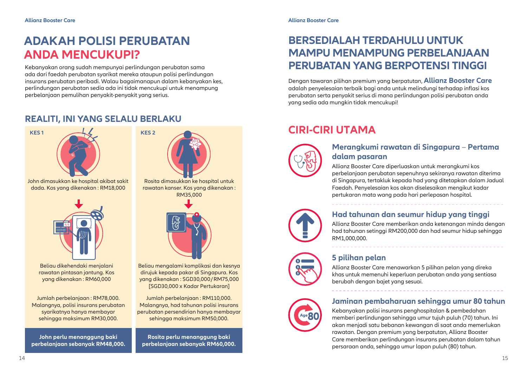# **ADAKAH POLISI PERUBATAN ANDA MENCUKUPI?**

Kebanyakan orang sudah mempunyai perlindungan perubatan sama ada dari faedah perubatan syarikat mereka ataupun polisi perlindungan insurans perubatan peribadi. Walau bagaimanapun dalam kebanyakan kes, perlindungan perubatan sedia ada ini tidak mencukupi untuk menampung perbelanjaan pemulihan penyakit-penyakit yang serius.

#### **REALITI, INI YANG SELALU BERLAKU**



John dimasukkan ke hospital akibat sakit dada. Kos yang dikenakan : RM18,000



Beliau dikehendaki menjalani rawatan pintasan jantung. Kos yang dikenakan : RM60,000

Jumlah perbelanjaan : RM78,000. Malangnya, polisi insurans perubatan syarikatnya hanya membayar sehingga maksimum RM30,000.

**John perlu menanggung baki perbelanjaan sebanyak RM48,000.**



rawatan kanser. Kos yang dikenakan : RM35,000



Beliau mengalami komplikasi dan kesnya dirujuk kepada pakar di Singapura. Kos yang dikenakan : SGD30,000/RM75,000 [SGD30,000 x Kadar Pertukaran]

Jumlah perbelanjaan : RM110,000. Malangnya, had tahunan polisi insurans perubatan persendirian hanya membayar sehingga maksimum RM50,000.

**Rosita perlu menanggung baki perbelanjaan sebanyak RM60,000.**

### **BERSEDIALAH TERDAHULU UNTUK MAMPU MENAMPUNG PERBELANJAAN PERUBATAN YANG BERPOTENSI TINGGI**

Dengan tawaran pilihan premium yang berpatutan, **Allianz Booster Care** adalah penyelesaian terbaik bagi anda untuk melindungi terhadap inflasi kos perubatan serta penyakit serius di mana perlindungan polisi perubatan anda yang sedia ada mungkin tidak mencukupi!

# **CIRI-CIRI UTAMA**



#### **Merangkumi rawatan di Singapura** – **Pertama dalam pasaran**

Allianz Booster Care diperluaskan untuk merangkumi kos perbelanjaan perubatan sepenuhnya sekiranya rawatan diterima di Singapura, tertakluk kepada had yang ditetapkan dalam Jadual Faedah. Penyelesaian kos akan diselesaikan mengikut kadar pertukaran mata wang pada hari perlepasan hospital.



#### **Had tahunan dan seumur hidup yang tinggi**

Allianz Booster Care memberikan anda ketenangan minda dengan had tahunan setinggi RM200,000 dan had seumur hidup sehingga RM1,000,000.



#### **5 pilihan pelan**

Allianz Booster Care menawarkan 5 pilihan pelan yang direka khas untuk memenuhi keperluan perubatan anda yang sentiasa berubah dengan bajet yang sesuai.

#### **Jaminan pembaharuan sehingga umur 80 tahun**

Kebanyakan polisi insurans penghospitalan & pembedahan memberi perlindungan sehingga umur tujuh puluh (70) tahun. Ini akan menjadi satu bebanan kewangan di saat anda memerlukan rawatan. Dengan premium yang berpatutan, Allianz Booster Care memberikan perlindungan insurans perubatan dalam tahun persaraan anda, sehingga umur lapan puluh (80) tahun.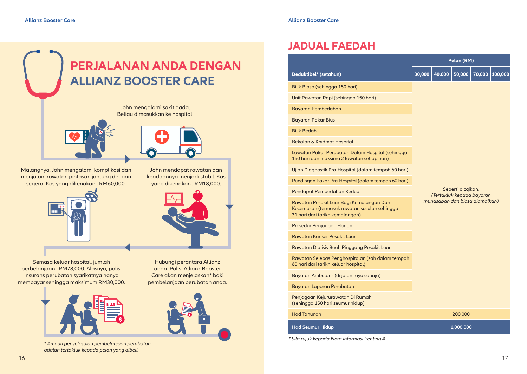



Hubungi perantara Allianz anda. Polisi Allianz Booster Care akan menjelaskan\* baki pembelanjaan perubatan anda.

John mendapat rawatan dan keadaannya menjadi stabil. Kos yang dikenakan : RM18,000.

Malangnya, John mengalami komplikasi dan menjalani rawatan pintasan jantung dengan segera. Kos yang dikenakan : RM60,000.



Semasa keluar hospital, jumlah perbelanjaan : RM78,000. Alasnya, polisi insurans perubatan syarikatnya hanya membayar sehingga maksimum RM30,000.



*\* Amaun penyelesaian pembelanjaan perubatan adalah tertakluk kepada pelan yang dibeli.*

|                                                                                                                             | Pelan (RM)                                                                       |        |           |  |                |  |
|-----------------------------------------------------------------------------------------------------------------------------|----------------------------------------------------------------------------------|--------|-----------|--|----------------|--|
| Deduktibel* (setahun)                                                                                                       | 30,000                                                                           | 40,000 | 50,000    |  | 70,000 100,000 |  |
| Bilik Biasa (sehingga 150 hari)                                                                                             |                                                                                  |        |           |  |                |  |
| Unit Rawatan Rapi (sehingga 150 hari)                                                                                       |                                                                                  |        |           |  |                |  |
| Bayaran Pembedahan                                                                                                          |                                                                                  |        |           |  |                |  |
| Bayaran Pakar Bius                                                                                                          |                                                                                  |        |           |  |                |  |
| <b>Bilik Bedah</b>                                                                                                          |                                                                                  |        |           |  |                |  |
| Bekalan & Khidmat Hospital                                                                                                  |                                                                                  |        |           |  |                |  |
| Lawatan Pakar Perubatan Dalam Hospital (sehingga<br>150 hari dan maksima 2 lawatan setiap hari)                             |                                                                                  |        |           |  |                |  |
| Ujian Diagnostik Pra-Hospital (dalam tempoh 60 hari)                                                                        |                                                                                  |        |           |  |                |  |
| Rundingan Pakar Pra-Hospital (dalam tempoh 60 hari)                                                                         |                                                                                  |        |           |  |                |  |
| Pendapat Pembedahan Kedua                                                                                                   | Seperti dicajkan.<br>(Tertakluk kepada bayaran<br>munasabah dan biasa diamalkan) |        |           |  |                |  |
| Rawatan Pesakit Luar Bagi Kemalangan Dan<br>Kecemasan (termasuk rawatan susulan sehingga<br>31 hari dari tarikh kemalangan) |                                                                                  |        |           |  |                |  |
| Prosedur Penjagaan Harian                                                                                                   |                                                                                  |        |           |  |                |  |
| Rawatan Kanser Pesakit Luar                                                                                                 |                                                                                  |        |           |  |                |  |
| Rawatan Dialisis Buah Pinggang Pesakit Luar                                                                                 |                                                                                  |        |           |  |                |  |
| Rawatan Selepas Penghospitalan (sah dalam tempoh<br>60 hari dari tarikh keluar hospital)                                    |                                                                                  |        |           |  |                |  |
| Bayaran Ambulans (di jalan raya sahaja)                                                                                     |                                                                                  |        |           |  |                |  |
| Bayaran Laporan Perubatan                                                                                                   |                                                                                  |        |           |  |                |  |
| Penjagaan Kejururawatan Di Rumah<br>(sehingga 150 hari seumur hidup)                                                        |                                                                                  |        |           |  |                |  |
| <b>Had Tahunan</b>                                                                                                          |                                                                                  |        | 200,000   |  |                |  |
| <b>Had Seumur Hidup</b>                                                                                                     |                                                                                  |        | 1,000,000 |  |                |  |

*\* Sila rujuk kepada Nota Informasi Penting 4.*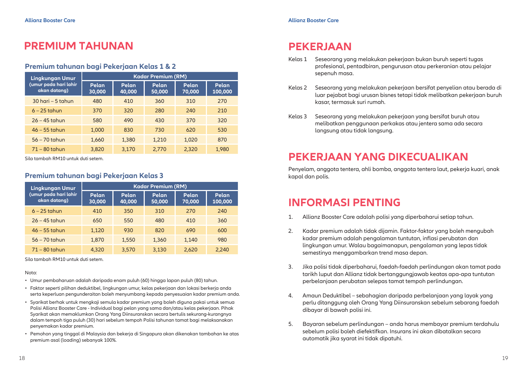### **PREMIUM TAHUNAN**

#### **Premium tahunan bagi Pekerjaan Kelas 1 & 2**

| <b>Lingkungan Umur</b>                | <b>Kadar Premium (RM)</b> |                                    |       |                                     |       |  |
|---------------------------------------|---------------------------|------------------------------------|-------|-------------------------------------|-------|--|
| (umur pada hari lahir<br>akan datang) | Pelan<br>30,000           | Pelan<br>Pelan<br>40,000<br>50,000 |       | Pelan<br>Pelan<br>70,000<br>100,000 |       |  |
| $30$ hari – 5 tahun                   | 480                       | 410                                | 360   | 310                                 | 270   |  |
| $6 - 25$ tahun                        | 370                       | 320                                | 280   | 240                                 | 210   |  |
| $26 - 45$ tahun                       | 580                       | 490                                | 430   | 370                                 | 320   |  |
| $46 - 55$ tahun                       | 1.000                     | 830                                | 730   | 620                                 | 530   |  |
| $56 - 70$ tahun                       | 1,660                     | 1,380                              | 1,210 | 1,020                               | 870   |  |
| $71 - 80$ tahun                       | 3,820                     | 3,170                              | 2.770 | 2,320                               | 1,980 |  |

Sila tambah RM10 untuk duti setem.

#### **Premium tahunan bagi Pekerjaan Kelas 3**

| <b>Lingkungan Umur</b>                | <b>Kadar Premium (RM)</b> |                 |                 |                 |                  |  |
|---------------------------------------|---------------------------|-----------------|-----------------|-----------------|------------------|--|
| (umur pada hari lahir<br>akan datang) | Pelan<br>30,000           | Pelan<br>40,000 | Pelan<br>50,000 | Pelan<br>70,000 | Pelan<br>100,000 |  |
| $6 - 25$ tahun                        | 410                       | 350             | 310             | 270             | 240              |  |
| $26 - 45$ tahun                       | 650                       | 550             | 480             | 410             | 360              |  |
| $46 - 55$ tahun                       | 1,120                     | 930             | 820             | 690             | 600              |  |
| $56 - 70$ tahun                       | 1,870                     | 1,550           | 1,360           | 1.140           | 980              |  |
| $71 - 80$ tahun                       | 4.320                     | 3.570           | 3,130           | 2.620           | 2.240            |  |

Sila tambah RM10 untuk duti setem.

#### Nota:

- Umur pembaharuan adalah daripada enam puluh (60) hingga lapan puluh (80) tahun.
- Faktor seperti pilihan deduktibel, lingkungan umur, kelas pekerjaan dan lokasi berkerja anda serta keperluan pengunderaitan boleh menyumbang kepada penyesuaian kadar premium anda.
- Syarikat berhak untuk mengkaji semula kadar premium yang boleh diguna pakai untuk semua Polisi Allianz Booster Care - Individual bagi pelan yang sama dan/atau kelas pekerjaan. Pihak Syarikat akan memaklumkan Orang Yang Diinsuranskan secara bertulis sekurang-kurangnya dalam tempoh tiga puluh (30) hari sebelum tempoh Polisi tahunan tamat bagi melaksanakan penyemakan kadar premium.
- Pemohon yang tinggal di Malaysia dan bekerja di Singapura akan dikenakan tambahan ke atas premium asal (loading) sebanyak 100%.

### **PEKERJAAN**

- Kelas 1 Seseorang yang melakukan pekerjaan bukan buruh seperti tugas profesional, pentadbiran, pengurusan atau perkeranian atau pelajar sepenuh masa.
- Kelas 2 Seseorang yang melakukan pekerjaan bersifat penyelian atau berada di luar pejabat bagi urusan bisnes tetapi tidak melibatkan pekerjaan buruh kasar, termasuk suri rumah.
- Kelas 3 Seseorang yang melakukan pekerjaan yang bersifat buruh atau melibatkan penggunaan perkakas atau jentera sama ada secara langsung atau tidak langsung.

### **PEKERJAAN YANG DIKECUALIKAN**

Penyelam, anggota tentera, ahli bomba, anggota tentera laut, pekerja kuari, anak kapal dan polis.

### **INFORMASI PENTING**

- 1. Allianz Booster Care adalah polisi yang diperbaharui setiap tahun.
- 2. Kadar premium adalah tidak dijamin. Faktor-faktor yang boleh mengubah kadar premium adalah pengalaman tuntutan, inflasi perubatan dan lingkungan umur. Walau bagaimanapun, pengalaman yang lepas tidak semestinya menggambarkan trend masa depan.
- 3. Jika polisi tidak diperbaharui, faedah-faedah perlindungan akan tamat pada tarikh luput dan Allianz tidak bertanggungjawab keatas apa-apa tuntutan perbelanjaan perubatan selepas tamat tempoh perlindungan.
- 4. Amaun Deduktibel sebahagian daripada perbelanjaan yang layak yang perlu ditanggung oleh Orang Yang Diinsuranskan sebelum sebarang faedah dibayar di bawah polisi ini.
- 5. Bayaran sebelum perlindungan anda harus membayar premium terdahulu sebelum polisi boleh diefektifkan. Insurans ini akan dibatalkan secara automatik jika syarat ini tidak dipatuhi.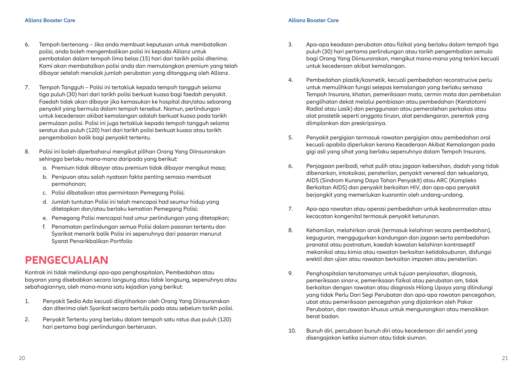- 6. Tempoh bertenang Jika anda membuat keputusan untuk membatalkan polisi, anda boleh mengembalikan polisi ini kepada Allianz untuk pembatalan dalam tempoh lima belas (15) hari dari tarikh polisi diterima. Kami akan membatalkan polisi anda dan memulangkan premium yang telah dibayar setelah menolak jumlah perubatan yang ditanggung oleh Allianz.
- 7. Tempoh Tangguh Polisi ini tertakluk kepada tempoh tangguh selama tiga puluh (30) hari dari tarikh polisi berkuat kuasa bagi faedah penyakit. Faedah tidak akan dibayar jika kemasukan ke hospital dan/atau sebarang penyakit yang bermula dalam tempoh tersebut. Namun, perlindungan untuk kecederaan akibat kemalangan adalah berkuat kuasa pada tarikh permulaan polisi. Polisi ini juga tertakluk kepada tempoh tangguh selama seratus dua puluh (120) hari dari tarikh polisi berkuat kuasa atau tarikh pengembalian balik bagi penyakit tertentu.
- 8. Polisi ini boleh diperbaharui mengikut pilihan Orang Yang Diinsuranskan sehingga berlaku mana-mana daripada yang berikut:
	- a. Premium tidak dibayar atau premium tidak dibayar mengikut masa;
	- b. Penipuan atau salah nyataan fakta penting semasa membuat permohonan;
	- c. Polisi dibatalkan atas permintaan Pemegang Polisi;
	- d. Jumlah tuntutan Polisi ini telah mencapai had seumur hidup yang ditetapkan dan/atau berlaku kematian Pemegang Polisi;
	- e. Pemegang Polisi mencapai had umur perlindungan yang ditetapkan;
	- f. Penamatan perlindungan semua Polisi dalam pasaran tertentu dan Syarikat menarik balik Polisi ini sepenuhnya dari pasaran menurut Syarat Penarikbalikan Portfolio

### **PENGECUALIAN**

Kontrak ini tidak melindungi apa-apa penghospitalan, Pembedahan atau bayaran yang disebabkan secara langsung atau tidak langsung, sepenuhnya atau sebahagiannya, oleh mana-mana satu kejadian yang berikut:

- 1. Penyakit Sedia Ada kecuali diisytiharkan oleh Orang Yang Diinsuranskan dan diterima oleh Syarikat secara bertulis pada atau sebelum tarikh polisi.
- 2. Penyakit Tertentu yang berlaku dalam tempoh satu ratus dua puluh (120) hari pertama bagi perlindungan berterusan.
- 3. Apa-apa keadaan perubatan atau fizikal yang berlaku dalam tempoh tiga puluh (30) hari pertama perlindungan atau tarikh pengembalian semula bagi Orang Yang Diinsuranskan, mengikut mana-mana yang terkini kecuali untuk kecederaan akibat kemalangan.
- 4. Pembedahan plastik/kosmetik, kecuali pembedahan reconstrucive perlu untuk memulihkan fungsi selepas kemalangan yang berlaku semasa Tempoh Insurans, khatan, pemeriksaan mata, cermin mata dan pembetulan penglihatan dekat melalui pembiasan atau pembedahan (Keratotomi Radial atau Lasik) dan penggunaan atau pemerolehan perkakas atau alat prostetik seperti anggota tiruan, alat pendengaran, perentak yang diimplankan dan preskripsinya.
- 5. Penyakit pergigian termasuk rawatan pergigian atau pembedahan oral kecuali apabila diperlukan kerana Kecederaan Akibat Kemalangan pada gigi asli yang sihat yang berlaku sepenuhnya dalam Tempoh Insurans.
- 6. Penjagaan peribadi, rehat pulih atau jagaan kebersihan, dadah yang tidak dibenarkan, intoksikasi, pensterilan, penyakit venereal dan sekuelanya, AIDS (Sindrom Kurang Daya Tahan Penyakit) atau ARC (Kompleks Berkaitan AIDS) dan penyakit berkaitan HIV, dan apa-apa penyakit berjangkit yang memerlukan kuarantin oleh undang-undang.
- 7. Apa-apa rawatan atau operasi pembedahan untuk keabnormalan atau kecacatan kongenital termasuk penyakit keturunan.
- 8. Kehamilan, melahirkan anak (termasuk kelahiran secara pembedahan), keguguran, menggugurkan kandungan dan jagaan serta pembedahan pranatal atau postnatum, kaedah kawalan kelahiran kontraseptif mekanikal atau kimia atau rawatan berkaitan ketidaksuburan, disfungsi erektil dan ujian atau rawatan berkaitan impoten atau pensterilan.
- 9. Penghospitalan terutamanya untuk tujuan penyiasatan, diagnosis, pemeriksaan sinar-x, pemeriksaan fizikal atau perubatan am, tidak berkaitan dengan rawatan atau diagnosis Hilang Upaya yang dilindungi yang tidak Perlu Dari Segi Perubatan dan apa-apa rawatan pencegahan, ubat atau pemeriksaan pencegahan yang dijalankan oleh Pakar Perubatan, dan rawatan khusus untuk mengurangkan atau menaikkan berat badan.
- 10. Bunuh diri, percubaan bunuh diri atau kecederaan diri sendiri yang disengajakan ketika siuman atau tidak siuman.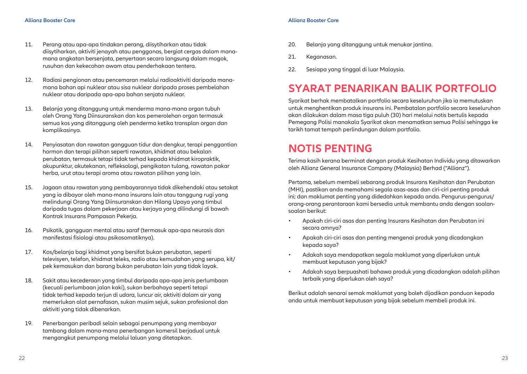- 11. Perang atau apa-apa tindakan perang, diisytiharkan atau tidak diisytiharkan, aktiviti jenayah atau pengganas, bergiat cergas dalam manamana angkatan bersenjata, penyertaan secara langsung dalam mogok, rusuhan dan kekecohan awam atau penderhakaan tentera.
- 12. Radiasi pengionan atau pencemaran melalui radioaktiviti daripada manamana bahan api nuklear atau sisa nuklear daripada proses pembelahan nuklear atau daripada apa-apa bahan senjata nuklear.
- 13. Belanja yang ditanggung untuk menderma mana-mana organ tubuh oleh Orang Yang Diinsuranskan dan kos pemerolehan organ termasuk semua kos yang ditanggung oleh penderma ketika transplan organ dan komplikasinya.
- 14. Penyiasatan dan rawatan gangguan tidur dan dengkur, terapi penggantian hormon dan terapi pilihan seperti rawatan, khidmat atau bekalan perubatan, termasuk tetapi tidak terhad kepada khidmat kiropraktik, akupunktur, akutekanan, refleksologi, pengikatan tulang, rawatan pakar herba, urut atau terapi aroma atau rawatan pilihan yang lain.
- 15. Jagaan atau rawatan yang pembayarannya tidak dikehendaki atau setakat yang ia dibayar oleh mana-mana insurans lain atau tanggung rugi yang melindungi Orang Yang Diinsuranskan dan Hilang Upaya yang timbul daripada tugas dalam pekerjaan atau kerjaya yang dilindungi di bawah Kontrak Insurans Pampasan Pekerja.
- 16. Psikotik, gangguan mental atau saraf (termasuk apa-apa neurosis dan manifestasi fisiologi atau psikosomatiknya).
- 17. Kos/belanja bagi khidmat yang bersifat bukan perubatan, seperti televisyen, telefon, khidmat teleks, radio atau kemudahan yang serupa, kit/ pek kemasukan dan barang bukan perubatan lain yang tidak layak.
- 18. Sakit atau kecederaan yang timbul daripada apa-apa jenis perlumbaan (kecuali perlumbaan jalan kaki), sukan berbahaya seperti tetapi tidak terhad kepada terjun di udara, luncur air, aktiviti dalam air yang memerlukan alat pernafasan, sukan musim sejuk, sukan profesional dan aktiviti yang tidak dibenarkan.
- 19. Penerbangan peribadi selain sebagai penumpang yang membayar tambang dalam mana-mana penerbangan komersil berjadual untuk mengangkut penumpang melalui laluan yang ditetapkan.

- 20. Belanja yang ditanggung untuk menukar jantina.
- 21. Keganasan.
- 22. Sesiapa yang tinggal di luar Malaysia.

### **SYARAT PENARIKAN BALIK PORTFOLIO**

Syarikat berhak membatalkan portfolio secara keseluruhan jika ia memutuskan untuk menghentikan produk insurans ini. Pembatalan portfolio secara keseluruhan akan dilakukan dalam masa tiga puluh (30) hari melalui notis bertulis kepada Pemegang Polisi manakala Syarikat akan menamatkan semua Polisi sehingga ke tarikh tamat tempoh perlindungan dalam portfolio.

### **NOTIS PENTING**

Terima kasih kerana berminat dengan produk Kesihatan Individu yang ditawarkan oleh Allianz General Insurance Company (Malaysia) Berhad ("Allianz").

Pertama, sebelum membeli sebarang produk Insurans Kesihatan dan Perubatan (MHI), pastikan anda memahami segala asas-asas dan ciri-ciri penting produk ini; dan maklumat penting yang didedahkan kepada anda. Pengurus-pengurus/ orang-orang perantaraan kami bersedia untuk membantu anda dengan soalansoalan berikut:

- Apakah ciri-ciri asas dan penting Insurans Kesihatan dan Perubatan ini secara amnya?
- Apakah ciri-ciri asas dan penting mengenai produk yang dicadangkan kepada saya?
- Adakah saya mendapatkan segala maklumat yang diperlukan untuk membuat keputusan yang bijak?
- Adakah saya berpuashati bahawa produk yang dicadangkan adalah pilihan terbaik yang diperlukan oleh saya?

Berikut adalah senarai semak maklumat yang boleh dijadikan panduan kepada anda untuk membuat keputusan yang bijak sebelum membeli produk ini.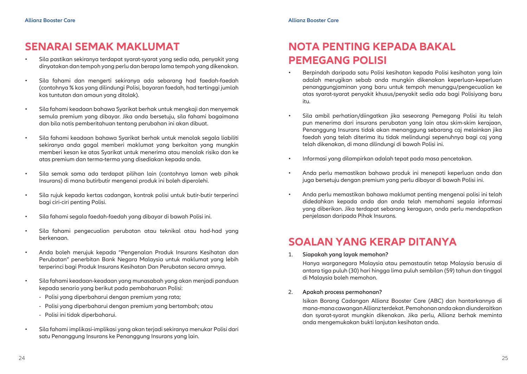### **SENARAI SEMAK MAKLUMAT**

- Sila pastikan sekiranya terdapat syarat-syarat yang sedia ada, penyakit yang dinyatakan dan tempoh yang perlu dan berapa lama tempoh yang dikenakan.
- Sila fahami dan mengerti sekiranya ada sebarang had faedah-faedah (contohnya % kos yang dilindungi Polisi, bayaran faedah, had tertinggi jumlah kos tuntutan dan amaun yang ditolak).
- Sila fahami keadaan bahawa Syarikat berhak untuk mengkaji dan menyemak semula premium yang dibayar. Jika anda bersetuju, sila fahami bagaimana dan bila notis pemberitahuan tentang perubahan ini akan dibuat.
- Sila fahami keadaan bahawa Syarikat berhak untuk menolak segala liabiliti sekiranya anda gagal memberi maklumat yang berkaitan yang mungkin memberi kesan ke atas Syarikat untuk menerima atau menolak risiko dan ke atas premium dan terma-terma yang disediakan kepada anda.
- Sila semak sama ada terdapat pilihan lain (contohnya laman web pihak Insurans) di mana butirbutir mengenai produk ini boleh diperolehi.
- Sila rujuk kepada kertas cadangan, kontrak polisi untuk butir-butir terperinci bagi ciri-ciri penting Polisi.
- Sila fahami segala faedah-faedah yang dibayar di bawah Polisi ini.
- Sila fahami pengecualian perubatan atau teknikal atau had-had yang berkenaan.
- Anda boleh merujuk kepada "Pengenalan Produk Insurans Kesihatan dan Perubatan" penerbitan Bank Negara Malaysia untuk maklumat yang lebih terperinci bagi Produk Insurans Kesihatan Dan Perubatan secara amnya.
- Sila fahami keadaan-keadaan yang munasabah yang akan menjadi panduan kepada senario yang berikut pada pembaharuan Polisi:
	- Polisi yang diperbaharui dengan premium yang rata;
	- Polisi yang diperbaharui dengan premium yang bertambah; atau
	- Polisi ini tidak diperbaharui.
- Sila fahami implikasi-implikasi yang akan terjadi sekiranya menukar Polisi dari satu Penanggung Insurans ke Penanggung Insurans yang lain.

# **NOTA PENTING KEPADA BAKAL PEMEGANG POLISI**

- Berpindah daripada satu Polisi kesihatan kepada Polisi kesihatan yang lain adalah merugikan sebab anda mungkin dikenakan keperluan-keperluan penanggungjaminan yang baru untuk tempoh menunggu/pengecualian ke atas syarat-syarat penyakit khusus/penyakit sedia ada bagi Polisiyang baru itu.
- Sila ambil perhatian/diingatkan jika seseorang Pemegang Polisi itu telah pun menerima dari insurans perubatan yang lain atau skim-skim kerajaan, Penanggung Insurans tidak akan menanggung sebarang caj melainkan jika faedah yang telah diterima itu tidak melindungi sepenuhnya bagi caj yang telah dikenakan, di mana dilindungi di bawah Polisi ini.
- Informasi yang dilampirkan adalah tepat pada masa pencetakan.
- Anda perlu memastikan bahawa produk ini menepati keperluan anda dan juga bersetuju dengan premium yang perlu dibayar di bawah Polisi ini.
- Anda perlu memastikan bahawa maklumat penting mengenai polisi ini telah didedahkan kepada anda dan anda telah memahami segala informasi yang diberikan. Jika terdapat sebarang keraguan, anda perlu mendapatkan penjelasan daripada Pihak Insurans.

### **SOALAN YANG KERAP DITANYA**

1. **Siapakah yang layak memohon?**

Hanya warganegara Malaysia atau pemastautin tetap Malaysia berusia di antara tiga puluh (30) hari hingga lima puluh sembilan (59) tahun dan tinggal di Malaysia boleh memohon.

#### 2. **Apakah process permohonan?**

Isikan Borang Cadangan Allianz Booster Care (ABC) dan hantarkannya di mana-mana cawangan Allianz terdekat. Pemohonan anda akan diunderaitkan dan syarat-syarat mungkin dikenakan. Jika perlu, Allianz berhak meminta anda mengemukakan bukti lanjutan kesihatan anda.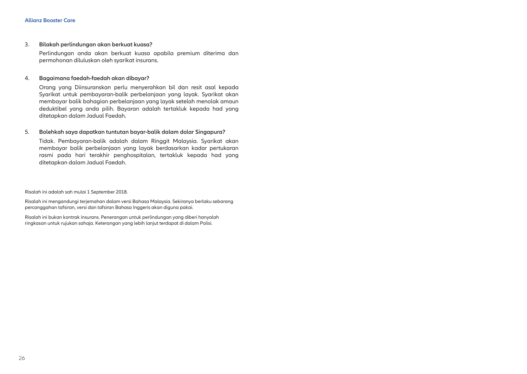3. **Bilakah perlindungan akan berkuat kuasa?**

Perlindungan anda akan berkuat kuasa apabila premium diterima dan permohonan diluluskan oleh syarikat insurans.

#### 4. **Bagaimana faedah-faedah akan dibayar?**

Orang yang Diinsuranskan perlu menyerahkan bil dan resit asal kepada Syarikat untuk pembayaran-balik perbelanjaan yang layak. Syarikat akan membayar balik bahagian perbelanjaan yang layak setelah menolak amaun deduktibel yang anda pilih. Bayaran adalah tertakluk kepada had yang ditetapkan dalam Jadual Faedah.

#### 5. **Bolehkah saya dapatkan tuntutan bayar-balik dalam dolar Singapura?**

Tidak. Pembayaran-balik adalah dalam Ringgit Malaysia. Syarikat akan membayar balik perbelanjaan yang layak berdasarkan kadar pertukaran rasmi pada hari terakhir penghospitalan, tertakluk kepada had yang ditetapkan dalam Jadual Faedah.

Risalah ini adalah sah mulai 1 September 2018.

Risalah ini mengandungi terjemahan dalam versi Bahasa Malaysia. Sekiranya berlaku sebarang percanggahan tafsiran, versi dan tafsiran Bahasa Inggeris akan diguna pakai.

Risalah ini bukan kontrak insurans. Penerangan untuk perlindungan yang diberi hanyalah ringkasan untuk rujukan sahaja. Keterangan yang lebih lanjut terdapat di dalam Polisi.